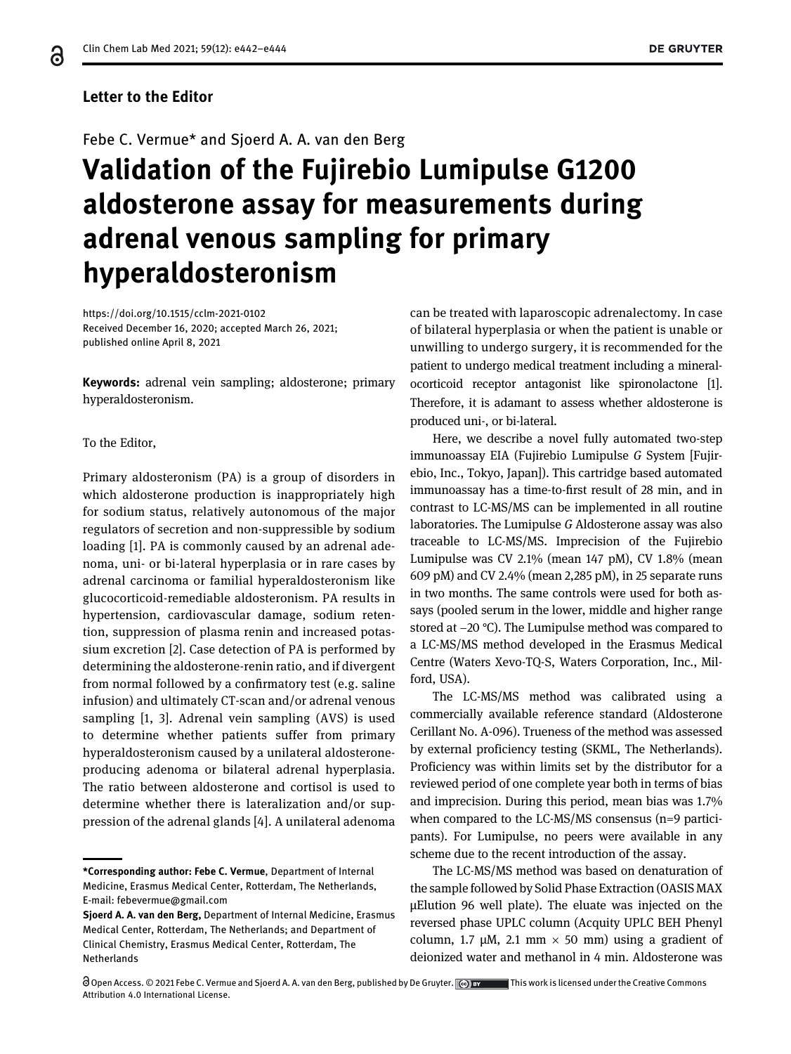### Letter to the Editor

## Febe C. Vermue\* and Sjoerd A. A. van den Berg

# Validation of the Fujirebio Lumipulse G1200 aldosterone assay for measurements during adrenal venous sampling for primary hyperaldosteronism

<https://doi.org/10.1515/cclm-2021-0102> Received December 16, 2020; accepted March 26, 2021; published online April 8, 2021

Keywords: adrenal vein sampling; aldosterone; primary hyperaldosteronism.

#### To the Editor,

Primary aldosteronism (PA) is a group of disorders in which aldosterone production is inappropriately high for sodium status, relatively autonomous of the major regulators of secretion and non-suppressible by sodium loading [\[1](#page-2-0)]. PA is commonly caused by an adrenal adenoma, uni- or bi-lateral hyperplasia or in rare cases by adrenal carcinoma or familial hyperaldosteronism like glucocorticoid-remediable aldosteronism. PA results in hypertension, cardiovascular damage, sodium retention, suppression of plasma renin and increased potassium excretion [\[2\]](#page-2-1). Case detection of PA is performed by determining the aldosterone-renin ratio, and if divergent from normal followed by a confirmatory test (e.g. saline infusion) and ultimately CT-scan and/or adrenal venous sampling [\[1,](#page-2-0) [3\].](#page-2-2) Adrenal vein sampling (AVS) is used to determine whether patients suffer from primary hyperaldosteronism caused by a unilateral aldosteroneproducing adenoma or bilateral adrenal hyperplasia. The ratio between aldosterone and cortisol is used to determine whether there is lateralization and/or suppression of the adrenal glands [[4](#page-2-3)]. A unilateral adenoma

can be treated with laparoscopic adrenalectomy. In case of bilateral hyperplasia or when the patient is unable or unwilling to undergo surgery, it is recommended for the patient to undergo medical treatment including a mineralocorticoid receptor antagonist like spironolactone [\[1](#page-2-0)]. Therefore, it is adamant to assess whether aldosterone is produced uni-, or bi-lateral.

Here, we describe a novel fully automated two-step immunoassay EIA (Fujirebio Lumipulse G System [Fujirebio, Inc., Tokyo, Japan]). This cartridge based automated immunoassay has a time-to-first result of 28 min, and in contrast to LC-MS/MS can be implemented in all routine laboratories. The Lumipulse G Aldosterone assay was also traceable to LC-MS/MS. Imprecision of the Fujirebio Lumipulse was CV 2.1% (mean 147 pM), CV 1.8% (mean 609 pM) and CV 2.4% (mean 2,285 pM), in 25 separate runs in two months. The same controls were used for both assays (pooled serum in the lower, middle and higher range stored at −20 °C). The Lumipulse method was compared to a LC-MS/MS method developed in the Erasmus Medical Centre (Waters Xevo-TQ-S, Waters Corporation, Inc., Milford, USA).

The LC-MS/MS method was calibrated using a commercially available reference standard (Aldosterone Cerillant No. A-096). Trueness of the method was assessed by external proficiency testing (SKML, The Netherlands). Proficiency was within limits set by the distributor for a reviewed period of one complete year both in terms of bias and imprecision. During this period, mean bias was 1.7% when compared to the LC-MS/MS consensus (n=9 participants). For Lumipulse, no peers were available in any scheme due to the recent introduction of the assay.

The LC-MS/MS method was based on denaturation of the sample followed by Solid Phase Extraction (OASIS MAX µElution 96 well plate). The eluate was injected on the reversed phase UPLC column (Acquity UPLC BEH Phenyl column, 1.7  $\mu$ M, 2.1 mm  $\times$  50 mm) using a gradient of deionized water and methanol in 4 min. Aldosterone was

<sup>\*</sup>Corresponding author: Febe C. Vermue, Department of Internal Medicine, Erasmus Medical Center, Rotterdam, The Netherlands, E-mail: [febevermue@gmail.com](mailto:febevermue@gmail.com)

Sjoerd A. A. van den Berg, Department of Internal Medicine, Erasmus Medical Center, Rotterdam, The Netherlands; and Department of Clinical Chemistry, Erasmus Medical Center, Rotterdam, The Netherlands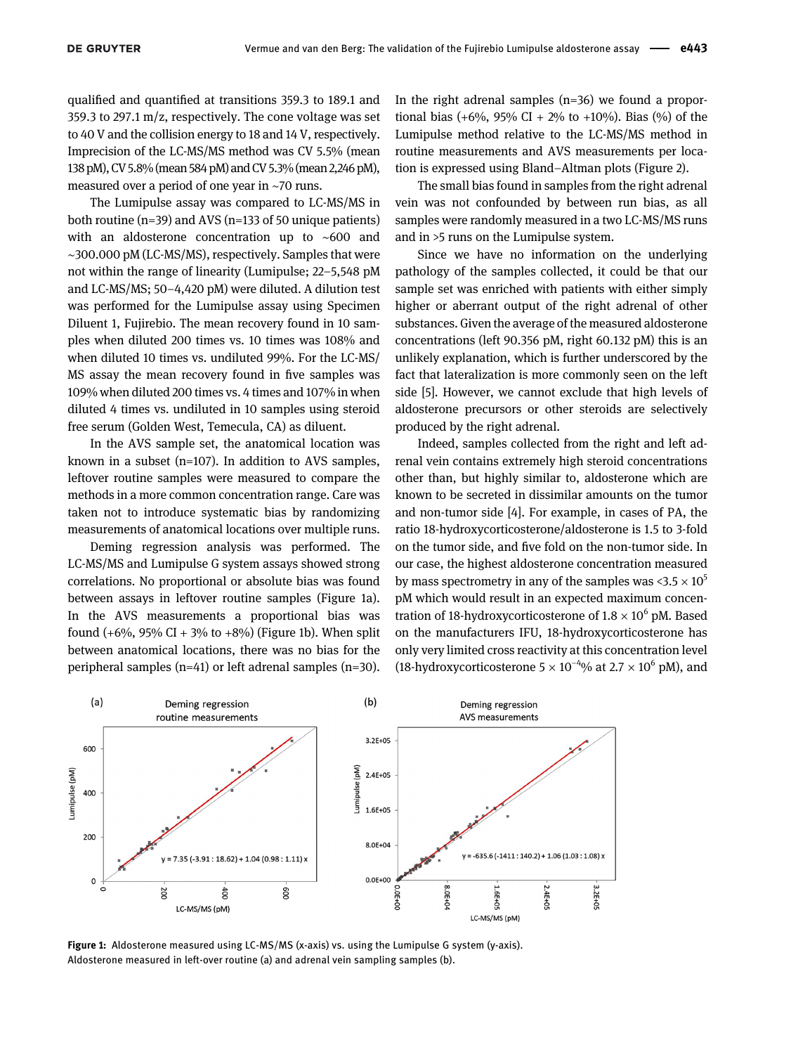qualified and quantified at transitions 359.3 to 189.1 and 359.3 to 297.1 m/z, respectively. The cone voltage was set to 40 V and the collision energy to 18 and 14 V, respectively. Imprecision of the LC-MS/MS method was CV 5.5% (mean 138 pM), CV 5.8% (mean 584 pM) and CV 5.3% (mean 2,246 pM), measured over a period of one year in ∼70 runs.

The Lumipulse assay was compared to LC-MS/MS in both routine ( $n=39$ ) and AVS ( $n=133$  of 50 unique patients) with an aldosterone concentration up to ∼600 and ∼300.000 pM (LC-MS/MS), respectively. Samples that were not within the range of linearity (Lumipulse; 22–5,548 pM and LC-MS/MS; 50–4,420 pM) were diluted. A dilution test was performed for the Lumipulse assay using Specimen Diluent 1, Fujirebio. The mean recovery found in 10 samples when diluted 200 times vs. 10 times was 108% and when diluted 10 times vs. undiluted 99%. For the LC-MS/ MS assay the mean recovery found in five samples was 109% when diluted 200 times vs. 4 times and 107% in when diluted 4 times vs. undiluted in 10 samples using steroid free serum (Golden West, Temecula, CA) as diluent.

In the AVS sample set, the anatomical location was known in a subset (n=107). In addition to AVS samples, leftover routine samples were measured to compare the methods in a more common concentration range. Care was taken not to introduce systematic bias by randomizing measurements of anatomical locations over multiple runs.

Deming regression analysis was performed. The LC-MS/MS and Lumipulse G system assays showed strong correlations. No proportional or absolute bias was found between assays in leftover routine samples ([Figure 1a\)](#page-1-0). In the AVS measurements a proportional bias was found  $(+6\%, 95\% \text{ CI} + 3\% \text{ to } +8\%)$  ([Figure 1b](#page-1-0)). When split between anatomical locations, there was no bias for the peripheral samples (n=41) or left adrenal samples (n=30).

In the right adrenal samples  $(n=36)$  we found a proportional bias  $(+6\%, 95\% \text{ CI} + 2\% \text{ to } +10\%).$  Bias  $(\% )$  of the Lumipulse method relative to the LC-MS/MS method in routine measurements and AVS measurements per location is expressed using Bland–Altman plots ([Figure 2\)](#page-2-4).

The small bias found in samples from the right adrenal vein was not confounded by between run bias, as all samples were randomly measured in a two LC-MS/MS runs and in >5 runs on the Lumipulse system.

Since we have no information on the underlying pathology of the samples collected, it could be that our sample set was enriched with patients with either simply higher or aberrant output of the right adrenal of other substances. Given the average of the measured aldosterone concentrations (left 90.356 pM, right 60.132 pM) this is an unlikely explanation, which is further underscored by the fact that lateralization is more commonly seen on the left side [\[5\]](#page-2-5). However, we cannot exclude that high levels of aldosterone precursors or other steroids are selectively produced by the right adrenal.

Indeed, samples collected from the right and left adrenal vein contains extremely high steroid concentrations other than, but highly similar to, aldosterone which are known to be secreted in dissimilar amounts on the tumor and non-tumor side [\[4](#page-2-3)]. For example, in cases of PA, the ratio 18-hydroxycorticosterone/aldosterone is 1.5 to 3-fold on the tumor side, and five fold on the non-tumor side. In our case, the highest aldosterone concentration measured by mass spectrometry in any of the samples was  $\langle 3.5 \times 10^5 \rangle$ pM which would result in an expected maximum concentration of 18-hydroxycorticosterone of  $1.8 \times 10^6$  pM. Based on the manufacturers IFU, 18-hydroxycorticosterone has only very limited cross reactivity at this concentration level (18-hydroxycorticosterone  $5 \times 10^{-4}$ % at 2.7  $\times$  10<sup>6</sup> pM), and



<span id="page-1-0"></span>Figure 1: Aldosterone measured using LC-MS/MS (x-axis) vs. using the Lumipulse G system (y-axis). Aldosterone measured in left-over routine (a) and adrenal vein sampling samples (b).